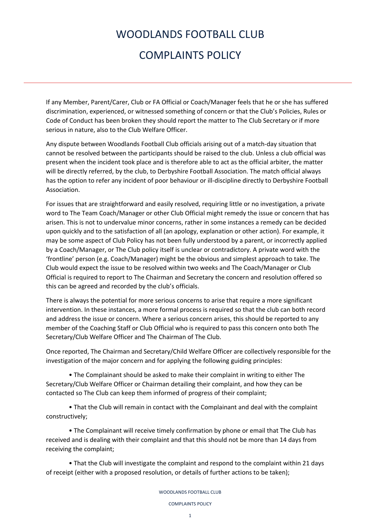## WOODLANDS FOOTBALL CLUB COMPLAINTS POLICY

If any Member, Parent/Carer, Club or FA Official or Coach/Manager feels that he or she has suffered discrimination, experienced, or witnessed something of concern or that the Club's Policies, Rules or Code of Conduct has been broken they should report the matter to The Club Secretary or if more serious in nature, also to the Club Welfare Officer.

Any dispute between Woodlands Football Club officials arising out of a match-day situation that cannot be resolved between the participants should be raised to the club. Unless a club official was present when the incident took place and is therefore able to act as the official arbiter, the matter will be directly referred, by the club, to Derbyshire Football Association. The match official always has the option to refer any incident of poor behaviour or ill-discipline directly to Derbyshire Football Association.

For issues that are straightforward and easily resolved, requiring little or no investigation, a private word to The Team Coach/Manager or other Club Official might remedy the issue or concern that has arisen. This is not to undervalue minor concerns, rather in some instances a remedy can be decided upon quickly and to the satisfaction of all (an apology, explanation or other action). For example, it may be some aspect of Club Policy has not been fully understood by a parent, or incorrectly applied by a Coach/Manager, or The Club policy itself is unclear or contradictory. A private word with the 'frontline' person (e.g. Coach/Manager) might be the obvious and simplest approach to take. The Club would expect the issue to be resolved within two weeks and The Coach/Manager or Club Official is required to report to The Chairman and Secretary the concern and resolution offered so this can be agreed and recorded by the club's officials.

There is always the potential for more serious concerns to arise that require a more significant intervention. In these instances, a more formal process is required so that the club can both record and address the issue or concern. Where a serious concern arises, this should be reported to any member of the Coaching Staff or Club Official who is required to pass this concern onto both The Secretary/Club Welfare Officer and The Chairman of The Club.

Once reported, The Chairman and Secretary/Child Welfare Officer are collectively responsible for the investigation of the major concern and for applying the following guiding principles:

• The Complainant should be asked to make their complaint in writing to either The Secretary/Club Welfare Officer or Chairman detailing their complaint, and how they can be contacted so The Club can keep them informed of progress of their complaint;

• That the Club will remain in contact with the Complainant and deal with the complaint constructively;

• The Complainant will receive timely confirmation by phone or email that The Club has received and is dealing with their complaint and that this should not be more than 14 days from receiving the complaint;

• That the Club will investigate the complaint and respond to the complaint within 21 days of receipt (either with a proposed resolution, or details of further actions to be taken);

WOODLANDS FOOTBALL CLUB

COMPLAINTS POLICY